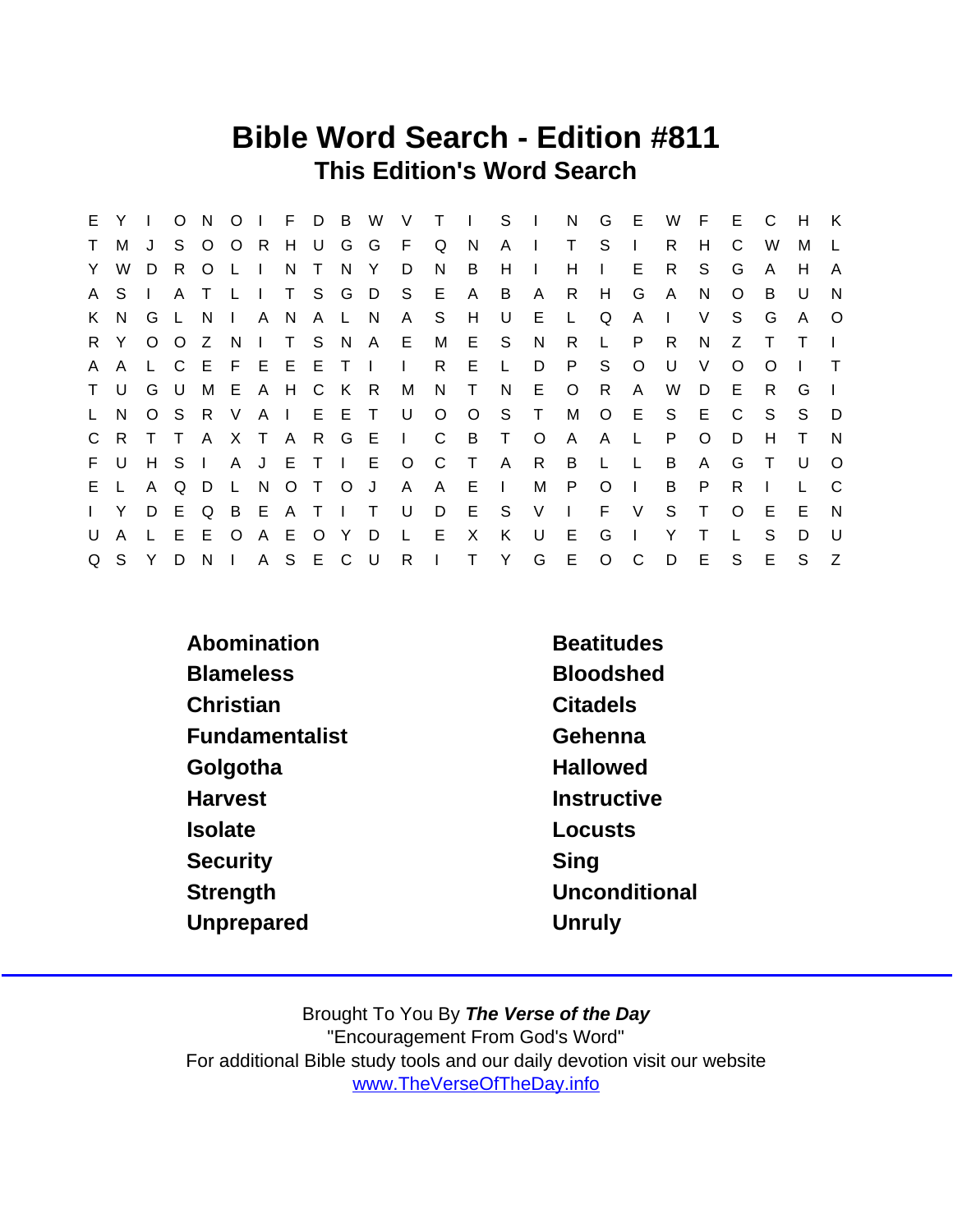### Bible Word Search - Edition #811 This Edition's Word Search

| E.           | Y            |              | $\circ$ | N.             |                           |     |        |               |                     |         |                   | O I F D B W V T I S I |              |                |              | N G          | - E          | W            | F.      | E.      | C        | H      | K              |
|--------------|--------------|--------------|---------|----------------|---------------------------|-----|--------|---------------|---------------------|---------|-------------------|-----------------------|--------------|----------------|--------------|--------------|--------------|--------------|---------|---------|----------|--------|----------------|
| $\mathsf{T}$ | M            | J            |         | S O            | OR H                      |     |        |               | UGGFQ               |         |                   | N.                    | $A \cup$     |                | $\mathsf{T}$ | -S           | $\mathbf{L}$ | R.           | H       | C       | W        | м      |                |
| Y.           | W            | D            | R.      | $\circ$        | L I                       | N   | $\top$ | N Y           |                     | D       | N.                | B                     | H            | $\blacksquare$ | H            | $\mathbf{L}$ | E            | R.           | S.      | G       | A        | H      | A              |
|              | A S          |              | A       | $\top$         | $\mathsf{L}$ $\mathsf{L}$ |     |        |               | T S G D S E         |         |                   | A                     | B            | A              | R.           | H            | G            | $\mathsf{A}$ | N       | O       | B        | U      | N              |
|              | K N          | G L          |         | N <sub>N</sub> | $\mathbf{1}$              | A N |        | A L N         |                     | A S     |                   | H                     | U U          | E.             | $\mathsf{L}$ | Q            | A            | $\Box$       | V       | S.      | G        | A      | $\circ$        |
|              | R Y          |              | $O$ $O$ | Z N            |                           |     |        |               | I T S N A E M       |         |                   | E S N                 |              |                | R.           | L.           | P            | R            | N       | Z       |          | T      |                |
| $\mathsf{A}$ | $\mathsf{A}$ |              |         |                |                           |     |        |               | L C E F E E E T I I |         | R                 | E.                    | $\mathsf{L}$ | D              | P            | S.           | $\circ$      | U            | $\vee$  | $\circ$ | $\Omega$ |        |                |
|              | T U          |              | G U     | M              | E A H C K R               |     |        |               |                     |         | M N T             |                       | N            | E              | $\circ$      | R            | A            | W            | D       | E       | R.       | G      |                |
| $\mathsf{L}$ | N.           |              |         |                | OSRV                      |     |        |               | A I E E T U         |         |                   | $O$ $O$               | S T          |                | М            | $\circ$      | - E          | S.           | -E      | C       | S.       | S.     | D              |
|              | C R T T      |              |         |                | A X T A R G E             |     |        |               |                     |         |                   | I C B T               |              | $\overline{O}$ | A            | $\mathsf{A}$ | $\mathsf{L}$ | P.           | $\circ$ | D       | н        | $\top$ | <b>N</b>       |
|              | F U          |              | H S     | $\Box$         |                           |     |        |               |                     |         | A J E T I E O C T |                       |              | A R            | B            | - Li         | - L.         | B            | A       | G       | $\top$   | U      | $\Omega$       |
|              | E L          | A            | Q       | D              |                           |     |        | L N O T O J   |                     | A       | A.                | - E                   | $\Box$       | M              | P            | $\circ$      | $\Box$       | B            | P       | R.      |          |        | C              |
| $\mathbf{L}$ | Y            | D E          |         | <b>Q</b>       |                           |     |        | <b>BEATIT</b> |                     | U       | D                 | E S V                 |              |                | $\sim 1$ .   | F V          |              | S T          |         | $\circ$ | E        | E.     | $\overline{N}$ |
| U            | A            | $\mathsf{L}$ | E       | E.             | $\circ$                   |     |        | A E O Y D     |                     | $\perp$ | E                 | $\mathsf{X}$          | K.           | U              | E            | G            | $\perp$      | Y            | т       |         | S        | D      | - U            |
|              | Q S Y        |              | D       |                | N I A S E C U             |     |        |               |                     |         |                   | R I T Y G             |              |                | E O          |              | $\mathsf{C}$ | D            | E       | S       | E        | S.     | Z              |

| Abomination           | <b>Beatitudes</b> |
|-----------------------|-------------------|
| <b>Blameless</b>      | <b>Bloodshed</b>  |
| Christian             | <b>Citadels</b>   |
| <b>Fundamentalist</b> | Gehenna           |
| Golgotha              | <b>Hallowed</b>   |
| <b>Harvest</b>        | Instructive       |
| <b>Isolate</b>        | Locusts           |
| Security              | Sing              |
| Strength              | Unconditional     |
| Unprepared            | Unruly            |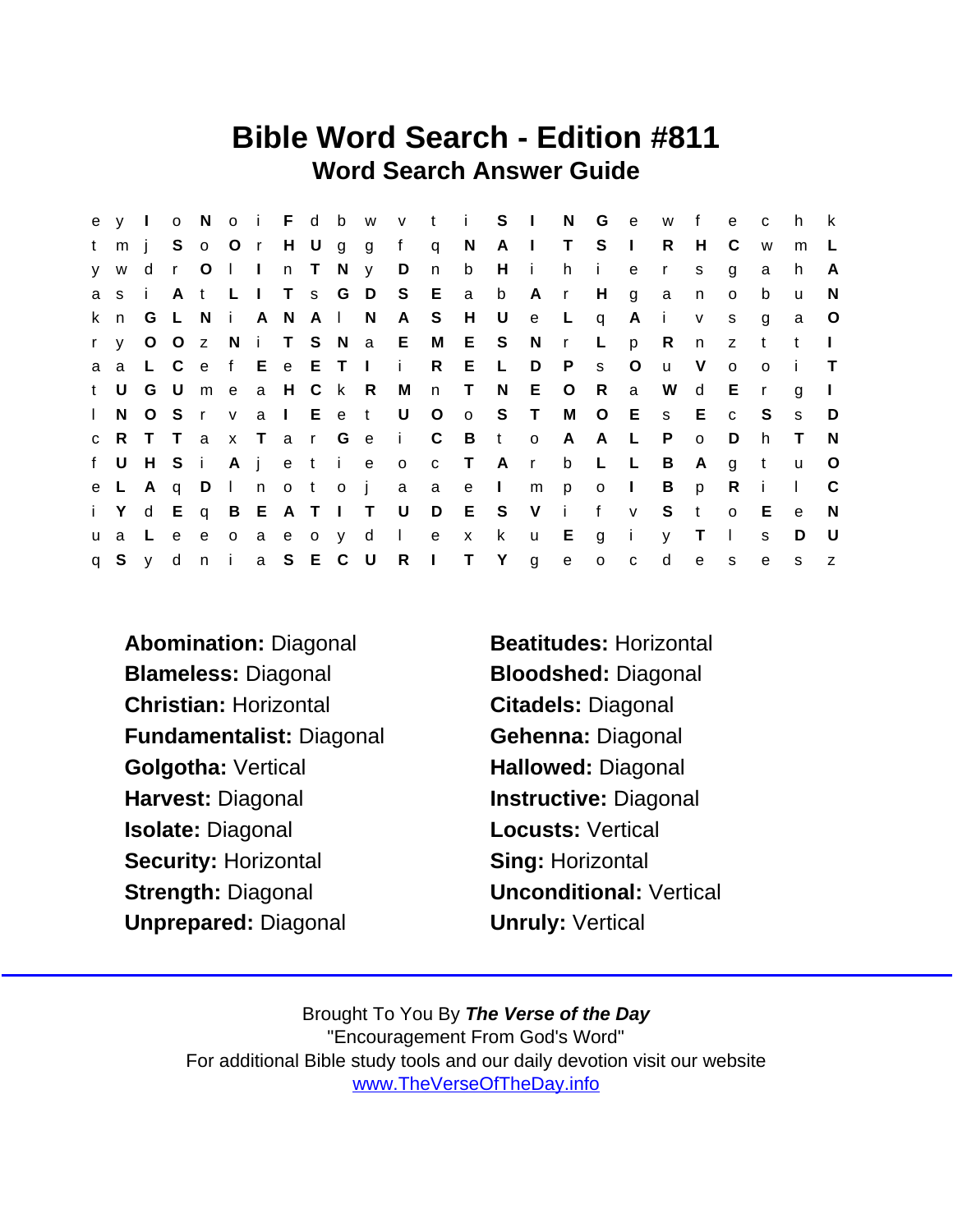### Bible Word Search - Edition #811 Word Search Answer Guide

|              |       |  |  |  |  |                 |                               |   |                                       |       |       |                | ey lo Noi F d b w v t i S I N G e w f e c   |                |              |                | h.           | $\mathbf{k}$ |
|--------------|-------|--|--|--|--|-----------------|-------------------------------|---|---------------------------------------|-------|-------|----------------|---------------------------------------------|----------------|--------------|----------------|--------------|--------------|
| t            | $m$ i |  |  |  |  |                 |                               |   | S o O r H U g g f q N A I T S I       |       |       |                | $\mathsf{R}$                                | H              | C            | W              | m            | L.           |
|              | y w   |  |  |  |  | dr Olln T N y D | $\overline{\phantom{a}}$      | b | Hihie                                 |       |       |                | $\mathsf{r}$                                | S.             | g            | a              | h.           | A            |
|              |       |  |  |  |  |                 |                               |   | asi At LITs GDS E a b Ar H g          |       |       |                | $\overline{a}$                              | n              | $\mathsf{o}$ | b              | u            | N            |
|              | k n   |  |  |  |  |                 | G L N i A N A I N A S H U     |   | e L q                                 |       |       | Ai             |                                             | $V$ S          |              | g              | a            | $\circ$      |
|              |       |  |  |  |  |                 |                               |   | ry OOz N i T S N a E M E S N r        |       | $L$ p |                | R n z t                                     |                |              |                | $-t$         |              |
|              |       |  |  |  |  |                 |                               |   | a a L C e f E e E T I i R E L D P     |       | S     | $\circ$        | <b>u</b>                                    | $\vee$         | $\circ$      | $\overline{O}$ | - i -        | $\top$       |
|              |       |  |  |  |  |                 | t U G U m e a H C k R M n T N |   |                                       | E O R |       | $\overline{a}$ | W d                                         |                | Er           |                | g            |              |
| $\mathbf{L}$ |       |  |  |  |  |                 |                               |   |                                       |       |       |                | N O S r v a l E e t U O o S T M O E s E c S |                |              |                | s.           | D            |
|              |       |  |  |  |  |                 |                               |   | CRT Tax Tar Ge i C B t o A A L        |       |       |                | P                                           | $\circ$        | D            | h.             | $\top$       | N,           |
|              |       |  |  |  |  |                 |                               |   | f U H S i A j e t i e o c T A r b L L |       |       |                | B A                                         |                | g t          |                | $\mathsf{u}$ | $\circ$      |
|              |       |  |  |  |  |                 | e L A q D I n o t o j a a e I |   |                                       | mpol  |       |                |                                             | B <sub>p</sub> | R            | $\mathbf{i}$   | $\mathbf{I}$ | - C          |
|              |       |  |  |  |  |                 |                               |   |                                       |       |       |                | i Y d E q B E A T I T U D E S V i f v S t   |                | $o$ E        |                | $\mathbf{e}$ | $\mathsf{N}$ |
|              |       |  |  |  |  |                 |                               |   | ua Leeoaeoy d I e x k u E g i         |       |       |                | y                                           | $\top$         | $\mathbf{L}$ | <sub>S</sub>   | D            | - U          |
|              |       |  |  |  |  |                 |                               |   | q S y d n i a S E C U R I T Y g e o c |       |       |                | d                                           | e              | S            | e              | S            | Z            |

Abomination: Diagonal Beatitudes: Horizontal Blameless: Diagonal Bloodshed: Diagonal Christian: Horizontal Citadels: Diagonal Fundamentalist: Diagonal Gehenna: Diagonal Golgotha: Vertical **Hallowed: Diagonal** Harvest: Diagonal **Instructive: Diagonal** Isolate: Diagonal **Locusts: Vertical** Security: Horizontal Sing: Horizontal Strength: Diagonal Unconditional: Vertical Unprepared: Diagonal **Units** Unruly: Vertical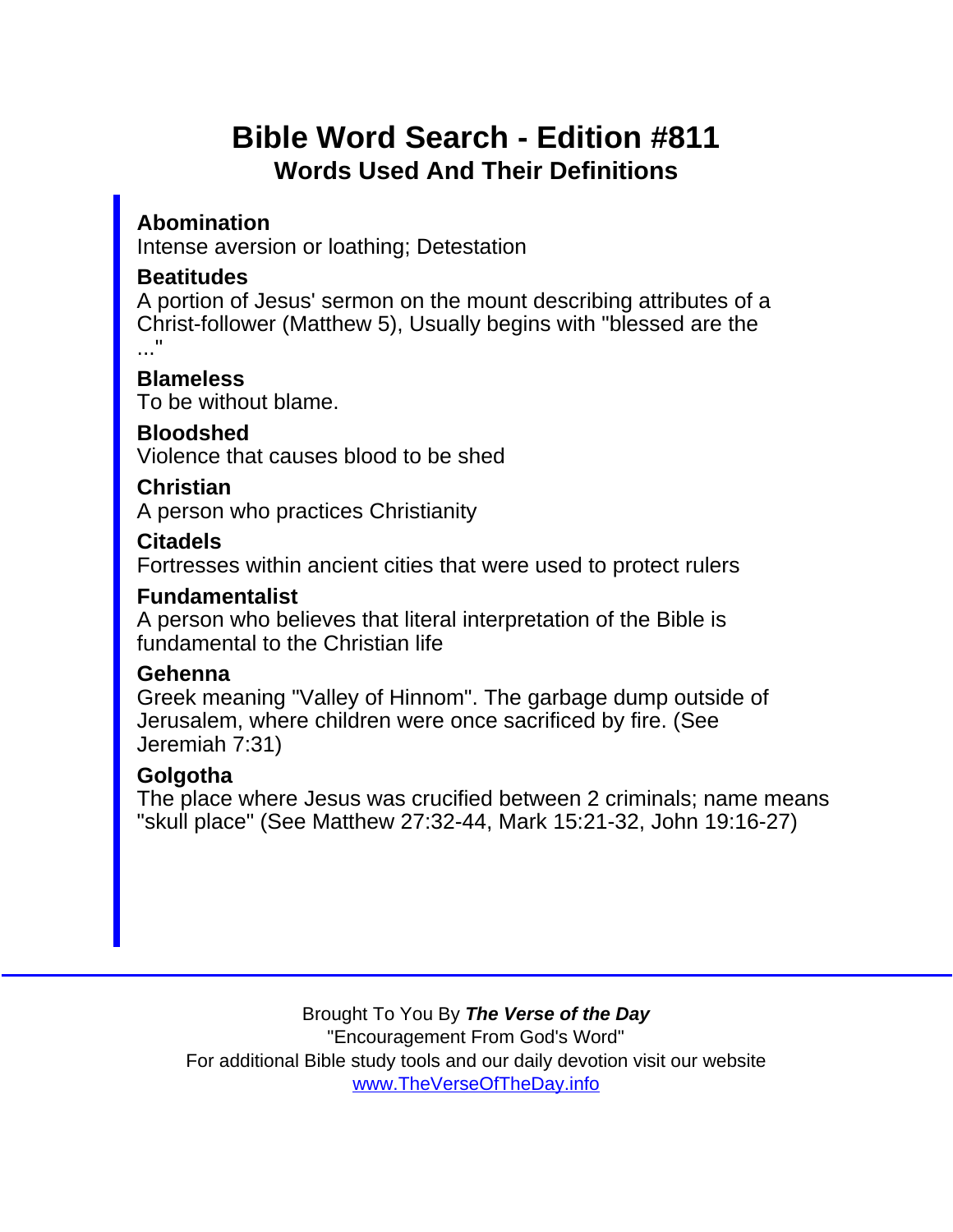# Bible Word Search - Edition #811 Words Used And Their Definitions

Abomination Intense aversion or loathing; Detestation

**Beatitudes** 

A portion of Jesus' sermon on the mount describing attributes of a Christ-follower (Matthew 5), Usually begins with "blessed are the ..."

**Blameless** 

To be without blame.

Bloodshed

Violence that causes blood to be shed

Christian

A person who practices Christianity

Citadels

Fortresses within ancient cities that were used to protect rulers

Fundamentalist

A person who believes that literal interpretation of the Bible is fundamental to the Christian life

#### Gehenna

Greek meaning "Valley of Hinnom". The garbage dump outside of Jerusalem, where children were once sacrificed by fire. (See Jeremiah 7:31)

#### **Golgotha**

The place where Jesus was crucified between 2 criminals; name means "skull place" (See Matthew 27:32-44, Mark 15:21-32, John 19:16-27)